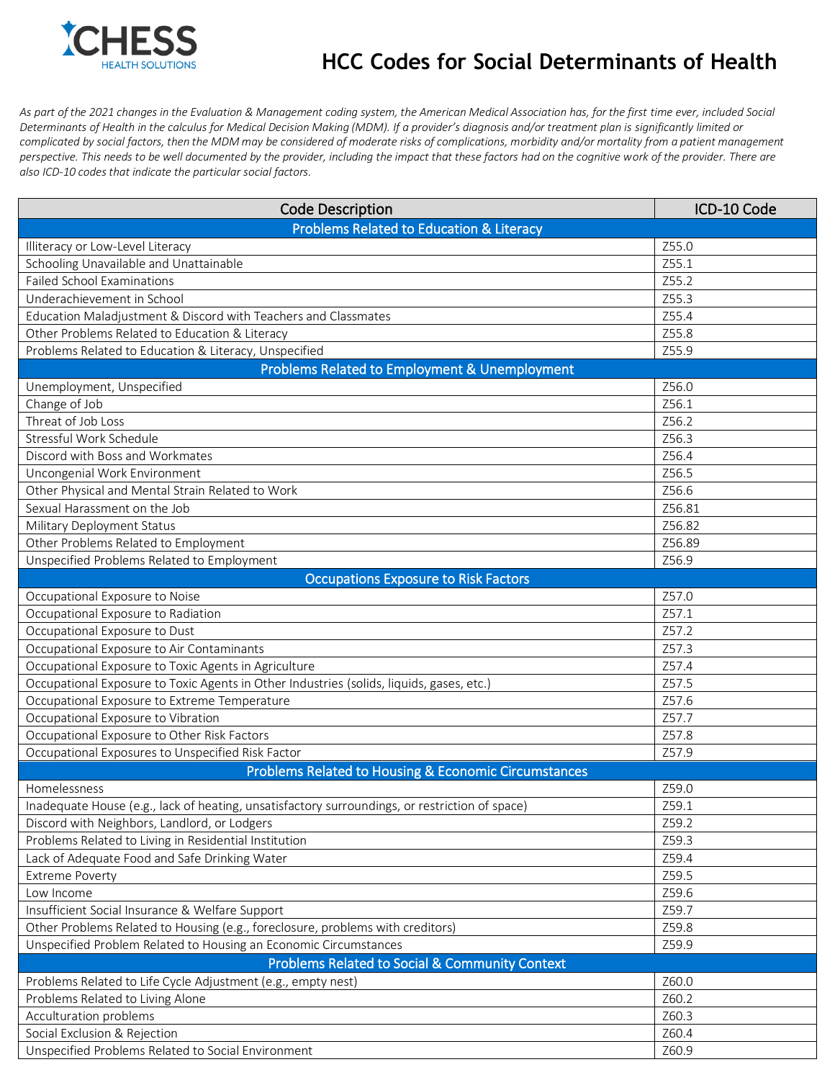

## **HCC Codes for Social Determinants of Health**

*As part of the 2021 changes in the Evaluation & Management coding system, the American Medical Association has, for the first time ever, included Social*  Determinants of Health in the calculus for Medical Decision Making (MDM). If a provider's diagnosis and/or treatment plan is significantly limited or *complicated by social factors, then the MDM may be considered of moderate risks of complications, morbidity and/or mortality from a patient management perspective. This needs to be well documented by the provider, including the impact that these factors had on the cognitive work of the provider. There are also ICD-10 codes that indicate the particular social factors.*

| <b>Code Description</b>                                                                        | ICD-10 Code |  |
|------------------------------------------------------------------------------------------------|-------------|--|
| <b>Problems Related to Education &amp; Literacy</b>                                            |             |  |
| Illiteracy or Low-Level Literacy                                                               | Z55.0       |  |
| Schooling Unavailable and Unattainable                                                         | Z55.1       |  |
| <b>Failed School Examinations</b>                                                              | Z55.2       |  |
| Underachievement in School                                                                     | Z55.3       |  |
| Education Maladjustment & Discord with Teachers and Classmates                                 | Z55.4       |  |
| Other Problems Related to Education & Literacy                                                 | Z55.8       |  |
| Problems Related to Education & Literacy, Unspecified                                          | Z55.9       |  |
| <b>Problems Related to Employment &amp; Unemployment</b>                                       |             |  |
| Unemployment, Unspecified                                                                      | Z56.0       |  |
| Change of Job                                                                                  | Z56.1       |  |
| Threat of Job Loss                                                                             | Z56.2       |  |
| Stressful Work Schedule                                                                        | Z56.3       |  |
| Discord with Boss and Workmates                                                                | Z56.4       |  |
| Uncongenial Work Environment                                                                   | Z56.5       |  |
| Other Physical and Mental Strain Related to Work                                               | Z56.6       |  |
| Sexual Harassment on the Job                                                                   | Z56.81      |  |
| Military Deployment Status                                                                     | Z56.82      |  |
| Other Problems Related to Employment                                                           | Z56.89      |  |
| Unspecified Problems Related to Employment                                                     | Z56.9       |  |
| <b>Occupations Exposure to Risk Factors</b>                                                    |             |  |
| Occupational Exposure to Noise                                                                 | Z57.0       |  |
| Occupational Exposure to Radiation                                                             | Z57.1       |  |
| Occupational Exposure to Dust                                                                  | Z57.2       |  |
| Occupational Exposure to Air Contaminants                                                      | Z57.3       |  |
| Occupational Exposure to Toxic Agents in Agriculture                                           | Z57.4       |  |
| Occupational Exposure to Toxic Agents in Other Industries (solids, liquids, gases, etc.)       | Z57.5       |  |
| Occupational Exposure to Extreme Temperature                                                   | Z57.6       |  |
| Occupational Exposure to Vibration                                                             | Z57.7       |  |
| Occupational Exposure to Other Risk Factors                                                    | Z57.8       |  |
| Occupational Exposures to Unspecified Risk Factor                                              | Z57.9       |  |
| Problems Related to Housing & Economic Circumstances                                           |             |  |
| Homelessness                                                                                   | Z59.0       |  |
| Inadequate House (e.g., lack of heating, unsatisfactory surroundings, or restriction of space) | Z59.1       |  |
| Discord with Neighbors, Landlord, or Lodgers                                                   | Z59.2       |  |
| Problems Related to Living in Residential Institution                                          | Z59.3       |  |
| Lack of Adequate Food and Safe Drinking Water                                                  | Z59.4       |  |
| <b>Extreme Poverty</b>                                                                         | Z59.5       |  |
| Low Income                                                                                     | Z59.6       |  |
| Insufficient Social Insurance & Welfare Support                                                | Z59.7       |  |
| Other Problems Related to Housing (e.g., foreclosure, problems with creditors)                 | Z59.8       |  |
| Unspecified Problem Related to Housing an Economic Circumstances                               | Z59.9       |  |
| <b>Problems Related to Social &amp; Community Context</b>                                      |             |  |
| Problems Related to Life Cycle Adjustment (e.g., empty nest)                                   | Z60.0       |  |
| Problems Related to Living Alone                                                               | Z60.2       |  |
| Acculturation problems                                                                         | Z60.3       |  |
| Social Exclusion & Rejection                                                                   | Z60.4       |  |
| Unspecified Problems Related to Social Environment                                             | Z60.9       |  |